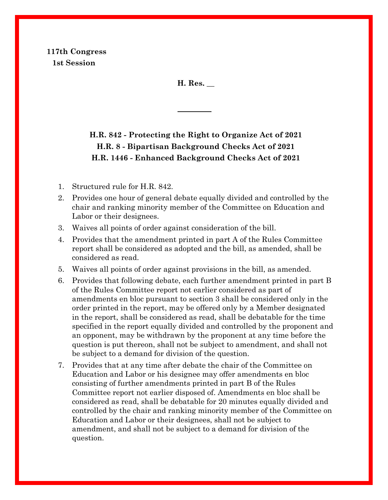**117th Congress 1st Session**

**H. Res. \_\_**

# **H.R. 842 - Protecting the Right to Organize Act of 2021 H.R. 8 - Bipartisan Background Checks Act of 2021 H.R. 1446 - Enhanced Background Checks Act of 2021**

- 1. Structured rule for H.R. 842.
- 2. Provides one hour of general debate equally divided and controlled by the chair and ranking minority member of the Committee on Education and Labor or their designees.
- 3. Waives all points of order against consideration of the bill.
- 4. Provides that the amendment printed in part A of the Rules Committee report shall be considered as adopted and the bill, as amended, shall be considered as read.
- 5. Waives all points of order against provisions in the bill, as amended.
- 6. Provides that following debate, each further amendment printed in part B of the Rules Committee report not earlier considered as part of amendments en bloc pursuant to section 3 shall be considered only in the order printed in the report, may be offered only by a Member designated in the report, shall be considered as read, shall be debatable for the time specified in the report equally divided and controlled by the proponent and an opponent, may be withdrawn by the proponent at any time before the question is put thereon, shall not be subject to amendment, and shall not be subject to a demand for division of the question.
- 7. Provides that at any time after debate the chair of the Committee on Education and Labor or his designee may offer amendments en bloc consisting of further amendments printed in part B of the Rules Committee report not earlier disposed of. Amendments en bloc shall be considered as read, shall be debatable for 20 minutes equally divided and controlled by the chair and ranking minority member of the Committee on Education and Labor or their designees, shall not be subject to amendment, and shall not be subject to a demand for division of the question.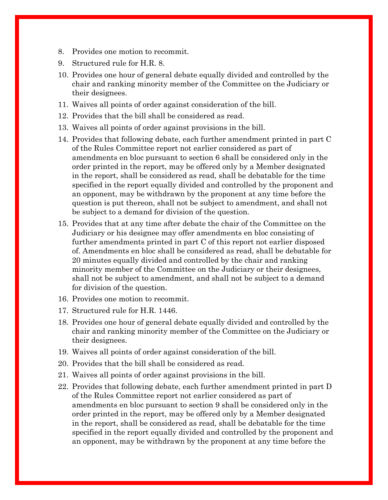- 8. Provides one motion to recommit.
- 9. Structured rule for H.R. 8.
- 10. Provides one hour of general debate equally divided and controlled by the chair and ranking minority member of the Committee on the Judiciary or their designees.
- 11. Waives all points of order against consideration of the bill.
- 12. Provides that the bill shall be considered as read.
- 13. Waives all points of order against provisions in the bill.
- 14. Provides that following debate, each further amendment printed in part C of the Rules Committee report not earlier considered as part of amendments en bloc pursuant to section 6 shall be considered only in the order printed in the report, may be offered only by a Member designated in the report, shall be considered as read, shall be debatable for the time specified in the report equally divided and controlled by the proponent and an opponent, may be withdrawn by the proponent at any time before the question is put thereon, shall not be subject to amendment, and shall not be subject to a demand for division of the question.
- 15. Provides that at any time after debate the chair of the Committee on the Judiciary or his designee may offer amendments en bloc consisting of further amendments printed in part C of this report not earlier disposed of. Amendments en bloc shall be considered as read, shall be debatable for 20 minutes equally divided and controlled by the chair and ranking minority member of the Committee on the Judiciary or their designees, shall not be subject to amendment, and shall not be subject to a demand for division of the question.
- 16. Provides one motion to recommit.
- 17. Structured rule for H.R. 1446.
- 18. Provides one hour of general debate equally divided and controlled by the chair and ranking minority member of the Committee on the Judiciary or their designees.
- 19. Waives all points of order against consideration of the bill.
- 20. Provides that the bill shall be considered as read.
- 21. Waives all points of order against provisions in the bill.
- 22. Provides that following debate, each further amendment printed in part D of the Rules Committee report not earlier considered as part of amendments en bloc pursuant to section 9 shall be considered only in the order printed in the report, may be offered only by a Member designated in the report, shall be considered as read, shall be debatable for the time specified in the report equally divided and controlled by the proponent and an opponent, may be withdrawn by the proponent at any time before the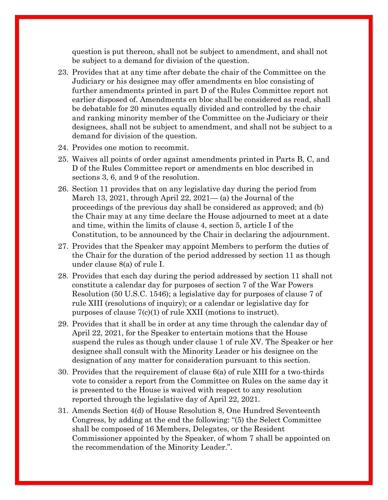question is put thereon, shall not be subject to amendment, and shall not be subject to a demand for division of the question.

- 23. Provides that at any time after debate the chair of the Committee on the Judiciary or his designee may offer amendments en bloc consisting of further amendments printed in part D of the Rules Committee report not earlier disposed of. Amendments en bloc shall be considered as read, shall be debatable for 20 minutes equally divided and controlled by the chair and ranking minority member of the Committee on the Judiciary or their designees, shall not be subject to amendment, and shall not be subject to a demand for division of the question.
- 24. Provides one motion to recommit.
- 25. Waives all points of order against amendments printed in Parts B, C, and D of the Rules Committee report or amendments en bloc described in sections 3, 6, and 9 of the resolution.
- 26. Section 11 provides that on any legislative day during the period from March 13, 2021, through April 22,  $2021-$  (a) the Journal of the proceedings of the previous day shall be considered as approved; and (b) the Chair may at any time declare the House adjourned to meet at a date and time, within the limits of clause 4, section 5, article I of the Constitution, to be announced by the Chair in declaring the adjournment.
- 27. Provides that the Speaker may appoint Members to perform the duties of the Chair for the duration of the period addressed by section 11 as though under clause 8(a) of rule I.
- 28. Provides that each day during the period addressed by section 11 shall not constitute a calendar day for purposes of section 7 of the War Powers Resolution (50 U.S.C. 1546); a legislative day for purposes of clause 7 of rule XIII (resolutions of inquiry); or a calendar or legislative day for purposes of clause 7(c)(1) of rule XXII (motions to instruct).
- 29. Provides that it shall be in order at any time through the calendar day of April 22, 2021, for the Speaker to entertain motions that the House suspend the rules as though under clause 1 of rule XV. The Speaker or her designee shall consult with the Minority Leader or his designee on the designation of any matter for consideration pursuant to this section.
- 30. Provides that the requirement of clause 6(a) of rule XIII for a two-thirds vote to consider a report from the Committee on Rules on the same day it is presented to the House is waived with respect to any resolution reported through the legislative day of April 22, 2021.
- 31. Amends Section 4(d) of House Resolution 8, One Hundred Seventeenth Congress, by adding at the end the following: "(5) the Select Committee shall be composed of 16 Members, Delegates, or the Resident Commissioner appointed by the Speaker, of whom 7 shall be appointed on the recommendation of the Minority Leader.".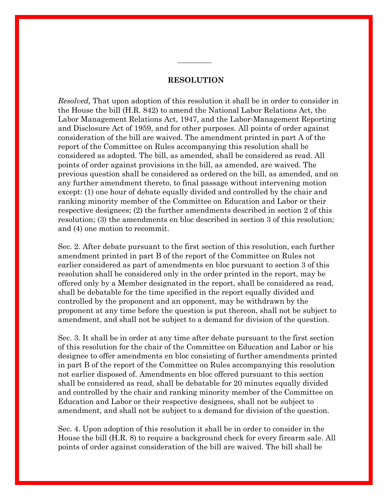#### **RESOLUTION**

*Resolved,* That upon adoption of this resolution it shall be in order to consider in the House the bill (H.R. 842) to amend the National Labor Relations Act, the Labor Management Relations Act, 1947, and the Labor-Management Reporting and Disclosure Act of 1959, and for other purposes. All points of order against consideration of the bill are waived. The amendment printed in part A of the report of the Committee on Rules accompanying this resolution shall be considered as adopted. The bill, as amended, shall be considered as read. All points of order against provisions in the bill, as amended, are waived. The previous question shall be considered as ordered on the bill, as amended, and on any further amendment thereto, to final passage without intervening motion except: (1) one hour of debate equally divided and controlled by the chair and ranking minority member of the Committee on Education and Labor or their respective designees; (2) the further amendments described in section 2 of this resolution; (3) the amendments en bloc described in section 3 of this resolution; and (4) one motion to recommit.

Sec. 2. After debate pursuant to the first section of this resolution, each further amendment printed in part B of the report of the Committee on Rules not earlier considered as part of amendments en bloc pursuant to section 3 of this resolution shall be considered only in the order printed in the report, may be offered only by a Member designated in the report, shall be considered as read, shall be debatable for the time specified in the report equally divided and controlled by the proponent and an opponent, may be withdrawn by the proponent at any time before the question is put thereon, shall not be subject to amendment, and shall not be subject to a demand for division of the question.

Sec. 3. It shall be in order at any time after debate pursuant to the first section of this resolution for the chair of the Committee on Education and Labor or his designee to offer amendments en bloc consisting of further amendments printed in part B of the report of the Committee on Rules accompanying this resolution not earlier disposed of. Amendments en bloc offered pursuant to this section shall be considered as read, shall be debatable for 20 minutes equally divided and controlled by the chair and ranking minority member of the Committee on Education and Labor or their respective designees, shall not be subject to amendment, and shall not be subject to a demand for division of the question.

Sec. 4. Upon adoption of this resolution it shall be in order to consider in the House the bill (H.R. 8) to require a background check for every firearm sale. All points of order against consideration of the bill are waived. The bill shall be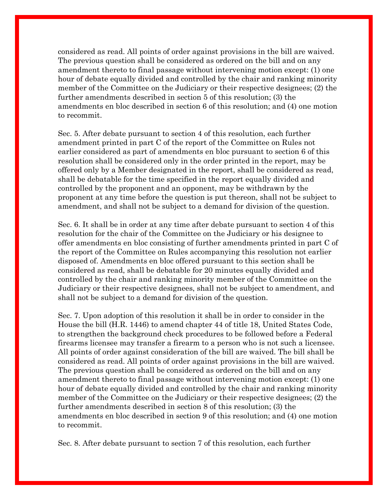considered as read. All points of order against provisions in the bill are waived. The previous question shall be considered as ordered on the bill and on any amendment thereto to final passage without intervening motion except: (1) one hour of debate equally divided and controlled by the chair and ranking minority member of the Committee on the Judiciary or their respective designees; (2) the further amendments described in section 5 of this resolution; (3) the amendments en bloc described in section 6 of this resolution; and (4) one motion to recommit.

Sec. 5. After debate pursuant to section 4 of this resolution, each further amendment printed in part C of the report of the Committee on Rules not earlier considered as part of amendments en bloc pursuant to section 6 of this resolution shall be considered only in the order printed in the report, may be offered only by a Member designated in the report, shall be considered as read, shall be debatable for the time specified in the report equally divided and controlled by the proponent and an opponent, may be withdrawn by the proponent at any time before the question is put thereon, shall not be subject to amendment, and shall not be subject to a demand for division of the question.

Sec. 6. It shall be in order at any time after debate pursuant to section 4 of this resolution for the chair of the Committee on the Judiciary or his designee to offer amendments en bloc consisting of further amendments printed in part C of the report of the Committee on Rules accompanying this resolution not earlier disposed of. Amendments en bloc offered pursuant to this section shall be considered as read, shall be debatable for 20 minutes equally divided and controlled by the chair and ranking minority member of the Committee on the Judiciary or their respective designees, shall not be subject to amendment, and shall not be subject to a demand for division of the question.

Sec. 7. Upon adoption of this resolution it shall be in order to consider in the House the bill (H.R. 1446) to amend chapter 44 of title 18, United States Code, to strengthen the background check procedures to be followed before a Federal firearms licensee may transfer a firearm to a person who is not such a licensee. All points of order against consideration of the bill are waived. The bill shall be considered as read. All points of order against provisions in the bill are waived. The previous question shall be considered as ordered on the bill and on any amendment thereto to final passage without intervening motion except: (1) one hour of debate equally divided and controlled by the chair and ranking minority member of the Committee on the Judiciary or their respective designees; (2) the further amendments described in section 8 of this resolution; (3) the amendments en bloc described in section 9 of this resolution; and (4) one motion to recommit.

Sec. 8. After debate pursuant to section 7 of this resolution, each further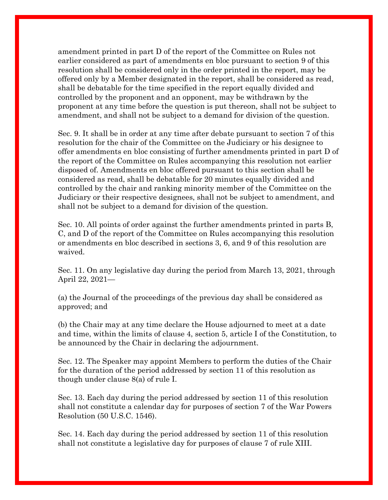amendment printed in part D of the report of the Committee on Rules not earlier considered as part of amendments en bloc pursuant to section 9 of this resolution shall be considered only in the order printed in the report, may be offered only by a Member designated in the report, shall be considered as read, shall be debatable for the time specified in the report equally divided and controlled by the proponent and an opponent, may be withdrawn by the proponent at any time before the question is put thereon, shall not be subject to amendment, and shall not be subject to a demand for division of the question.

Sec. 9. It shall be in order at any time after debate pursuant to section 7 of this resolution for the chair of the Committee on the Judiciary or his designee to offer amendments en bloc consisting of further amendments printed in part D of the report of the Committee on Rules accompanying this resolution not earlier disposed of. Amendments en bloc offered pursuant to this section shall be considered as read, shall be debatable for 20 minutes equally divided and controlled by the chair and ranking minority member of the Committee on the Judiciary or their respective designees, shall not be subject to amendment, and shall not be subject to a demand for division of the question.

Sec. 10. All points of order against the further amendments printed in parts B, C, and D of the report of the Committee on Rules accompanying this resolution or amendments en bloc described in sections 3, 6, and 9 of this resolution are waived.

Sec. 11. On any legislative day during the period from March 13, 2021, through April 22, 2021—

(a) the Journal of the proceedings of the previous day shall be considered as approved; and

(b) the Chair may at any time declare the House adjourned to meet at a date and time, within the limits of clause 4, section 5, article I of the Constitution, to be announced by the Chair in declaring the adjournment.

Sec. 12. The Speaker may appoint Members to perform the duties of the Chair for the duration of the period addressed by section 11 of this resolution as though under clause 8(a) of rule I.

Sec. 13. Each day during the period addressed by section 11 of this resolution shall not constitute a calendar day for purposes of section 7 of the War Powers Resolution (50 U.S.C. 1546).

Sec. 14. Each day during the period addressed by section 11 of this resolution shall not constitute a legislative day for purposes of clause 7 of rule XIII.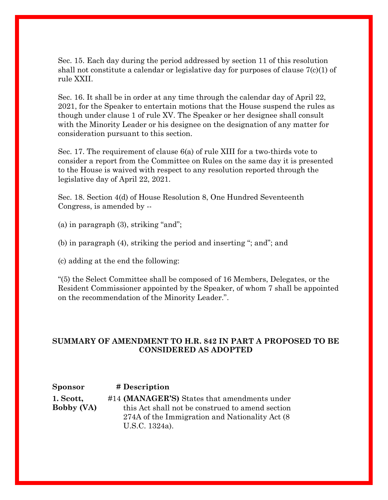Sec. 15. Each day during the period addressed by section 11 of this resolution shall not constitute a calendar or legislative day for purposes of clause 7(c)(1) of rule XXII.

Sec. 16. It shall be in order at any time through the calendar day of April 22, 2021, for the Speaker to entertain motions that the House suspend the rules as though under clause 1 of rule XV. The Speaker or her designee shall consult with the Minority Leader or his designee on the designation of any matter for consideration pursuant to this section.

Sec. 17. The requirement of clause 6(a) of rule XIII for a two-thirds vote to consider a report from the Committee on Rules on the same day it is presented to the House is waived with respect to any resolution reported through the legislative day of April 22, 2021.

Sec. 18. Section 4(d) of House Resolution 8, One Hundred Seventeenth Congress, is amended by --

(a) in paragraph (3), striking "and";

(b) in paragraph (4), striking the period and inserting "; and"; and

(c) adding at the end the following:

"(5) the Select Committee shall be composed of 16 Members, Delegates, or the Resident Commissioner appointed by the Speaker, of whom 7 shall be appointed on the recommendation of the Minority Leader.".

### **SUMMARY OF AMENDMENT TO H.R. 842 IN PART A PROPOSED TO BE CONSIDERED AS ADOPTED**

| Sponsor           | # Description                                    |
|-------------------|--------------------------------------------------|
| 1. Scott,         | #14 (MANAGER'S) States that amendments under     |
| <b>Bobby (VA)</b> | this Act shall not be construed to amend section |
|                   | 274A of the Immigration and Nationality Act (8)  |
|                   | U.S.C. 1324a).                                   |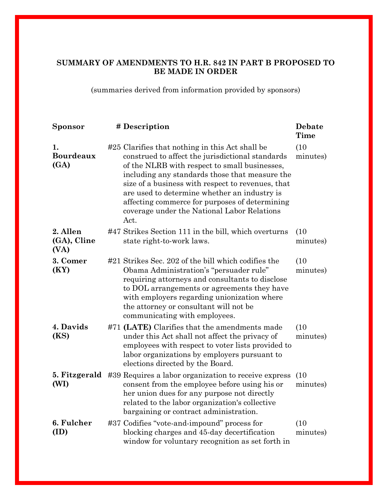## **SUMMARY OF AMENDMENTS TO H.R. 842 IN PART B PROPOSED TO BE MADE IN ORDER**

(summaries derived from information provided by sponsors)

| <b>Sponsor</b>                  | # Description                                                                                                                                                                                                                                                                                                                                                                                                        | Debate<br><b>Time</b> |
|---------------------------------|----------------------------------------------------------------------------------------------------------------------------------------------------------------------------------------------------------------------------------------------------------------------------------------------------------------------------------------------------------------------------------------------------------------------|-----------------------|
| 1.<br><b>Bourdeaux</b><br>(GA)  | #25 Clarifies that nothing in this Act shall be<br>construed to affect the jurisdictional standards<br>of the NLRB with respect to small businesses,<br>including any standards those that measure the<br>size of a business with respect to revenues, that<br>are used to determine whether an industry is<br>affecting commerce for purposes of determining<br>coverage under the National Labor Relations<br>Act. | (10)<br>minutes)      |
| 2. Allen<br>(GA), Cline<br>(VA) | #47 Strikes Section 111 in the bill, which overturns<br>state right-to-work laws.                                                                                                                                                                                                                                                                                                                                    | (10)<br>minutes)      |
| 3. Comer<br>(KY)                | #21 Strikes Sec. 202 of the bill which codifies the<br>Obama Administration's "persuader rule"<br>requiring attorneys and consultants to disclose<br>to DOL arrangements or agreements they have<br>with employers regarding unionization where<br>the attorney or consultant will not be<br>communicating with employees.                                                                                           | (10)<br>minutes)      |
| 4. Davids<br>(KS)               | #71 (LATE) Clarifies that the amendments made<br>under this Act shall not affect the privacy of<br>employees with respect to voter lists provided to<br>labor organizations by employers pursuant to<br>elections directed by the Board.                                                                                                                                                                             | (10)<br>minutes)      |
| 5. Fitzgerald<br>(WI)           | #39 Requires a labor organization to receive express<br>consent from the employee before using his or<br>her union dues for any purpose not directly<br>related to the labor organization's collective<br>bargaining or contract administration.                                                                                                                                                                     | (10)<br>minutes)      |
| 6. Fulcher<br>(ID)              | #37 Codifies "vote-and-impound" process for<br>blocking charges and 45-day decertification<br>window for voluntary recognition as set forth in                                                                                                                                                                                                                                                                       | (10)<br>minutes)      |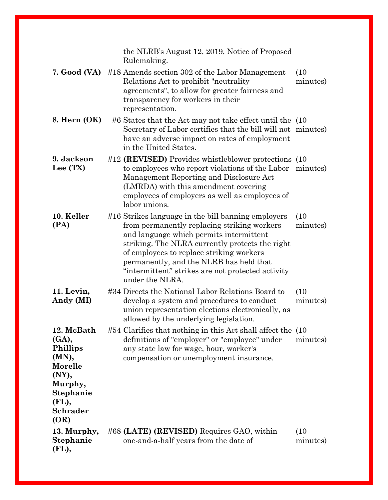|                                                                                                                          | the NLRB's August 12, 2019, Notice of Proposed<br>Rulemaking.                                                                                                                                                                                                                                                                                                  |                  |
|--------------------------------------------------------------------------------------------------------------------------|----------------------------------------------------------------------------------------------------------------------------------------------------------------------------------------------------------------------------------------------------------------------------------------------------------------------------------------------------------------|------------------|
| 7. Good (VA)                                                                                                             | #18 Amends section 302 of the Labor Management<br>Relations Act to prohibit "neutrality"<br>agreements", to allow for greater fairness and<br>transparency for workers in their<br>representation.                                                                                                                                                             | (10)<br>minutes) |
| 8. Hern (OK)                                                                                                             | #6 States that the Act may not take effect until the (10)<br>Secretary of Labor certifies that the bill will not minutes)<br>have an adverse impact on rates of employment<br>in the United States.                                                                                                                                                            |                  |
| 9. Jackson<br>Lee (TX)                                                                                                   | #12 (REVISED) Provides whistleblower protections (10<br>to employees who report violations of the Labor minutes)<br>Management Reporting and Disclosure Act<br>(LMRDA) with this amendment covering<br>employees of employers as well as employees of<br>labor unions.                                                                                         |                  |
| 10. Keller<br>(PA)                                                                                                       | #16 Strikes language in the bill banning employers<br>from permanently replacing striking workers<br>and language which permits intermittent<br>striking. The NLRA currently protects the right<br>of employees to replace striking workers<br>permanently, and the NLRB has held that<br>"intermittent" strikes are not protected activity<br>under the NLRA. | (10)<br>minutes) |
| 11. Levin,<br>Andy (MI)                                                                                                  | #34 Directs the National Labor Relations Board to<br>develop a system and procedures to conduct<br>union representation elections electronically, as<br>allowed by the underlying legislation.                                                                                                                                                                 | (10)<br>minutes) |
| 12. McBath<br>(GA),<br><b>Phillips</b><br>(MN),<br>Morelle<br>(NY),<br>Murphy,<br>Stephanie<br>(FL),<br>Schrader<br>(OR) | #54 Clarifies that nothing in this Act shall affect the (10)<br>definitions of "employer" or "employee" under<br>any state law for wage, hour, worker's<br>compensation or unemployment insurance.                                                                                                                                                             | minutes)         |
| 13. Murphy,<br>Stephanie<br>(FL),                                                                                        | #68 (LATE) (REVISED) Requires GAO, within<br>one-and-a-half years from the date of                                                                                                                                                                                                                                                                             | (10)<br>minutes) |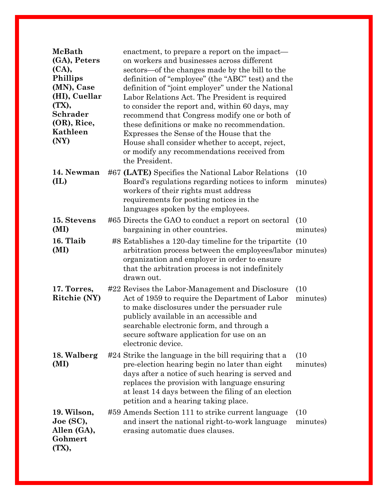| <b>McBath</b><br>(GA), Peters<br>(CA),<br><b>Phillips</b><br>(MN), Case<br>(HI), Cuellar<br>(TX),<br>Schrader<br>(OR), Rice,<br>Kathleen<br>(NY) | enactment, to prepare a report on the impact—<br>on workers and businesses across different<br>sectors—of the changes made by the bill to the<br>definition of "employee" (the "ABC" test) and the<br>definition of "joint employer" under the National<br>Labor Relations Act. The President is required<br>to consider the report and, within 60 days, may<br>recommend that Congress modify one or both of<br>these definitions or make no recommendation.<br>Expresses the Sense of the House that the<br>House shall consider whether to accept, reject,<br>or modify any recommendations received from<br>the President. |
|--------------------------------------------------------------------------------------------------------------------------------------------------|--------------------------------------------------------------------------------------------------------------------------------------------------------------------------------------------------------------------------------------------------------------------------------------------------------------------------------------------------------------------------------------------------------------------------------------------------------------------------------------------------------------------------------------------------------------------------------------------------------------------------------|
| 14. Newman<br>(IL)                                                                                                                               | #67 (LATE) Specifies the National Labor Relations<br>(10)<br>Board's regulations regarding notices to inform<br>minutes)<br>workers of their rights must address<br>requirements for posting notices in the<br>languages spoken by the employees.                                                                                                                                                                                                                                                                                                                                                                              |
| 15. Stevens<br>(MI)                                                                                                                              | #65 Directs the GAO to conduct a report on sectoral<br>(10)<br>bargaining in other countries.<br>minutes)                                                                                                                                                                                                                                                                                                                                                                                                                                                                                                                      |
| 16. Tlaib<br>(MI)                                                                                                                                | #8 Establishes a 120-day timeline for the tripartite (10<br>arbitration process between the employees/labor minutes)<br>organization and employer in order to ensure<br>that the arbitration process is not indefinitely<br>drawn out.                                                                                                                                                                                                                                                                                                                                                                                         |
| 17. Torres,<br>Ritchie (NY)                                                                                                                      | #22 Revises the Labor-Management and Disclosure<br>(10)<br>Act of 1959 to require the Department of Labor<br>minutes)<br>to make disclosures under the persuader rule<br>publicly available in an accessible and<br>searchable electronic form, and through a<br>secure software application for use on an<br>electronic device.                                                                                                                                                                                                                                                                                               |
| 18. Walberg<br>(MI)                                                                                                                              | #24 Strike the language in the bill requiring that a<br>(10)<br>pre-election hearing begin no later than eight<br>minutes)<br>days after a notice of such hearing is served and<br>replaces the provision with language ensuring<br>at least 14 days between the filing of an election<br>petition and a hearing taking place.                                                                                                                                                                                                                                                                                                 |
| 19. Wilson,<br>Joe (SC),<br>Allen (GA),<br>Gohmert<br>(TX),                                                                                      | #59 Amends Section 111 to strike current language<br>(10)<br>and insert the national right-to-work language<br>minutes)<br>erasing automatic dues clauses.                                                                                                                                                                                                                                                                                                                                                                                                                                                                     |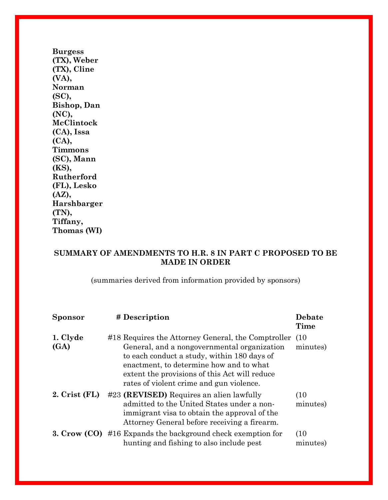**[Burgess](https://amendments-rules.house.gov/amendments/WILSSC_013_xml210304145122704.pdf)  [\(TX\), Weber](https://amendments-rules.house.gov/amendments/WILSSC_013_xml210304145122704.pdf)  [\(TX\), Cline](https://amendments-rules.house.gov/amendments/WILSSC_013_xml210304145122704.pdf)  [\(VA\),](https://amendments-rules.house.gov/amendments/WILSSC_013_xml210304145122704.pdf)  [Norman](https://amendments-rules.house.gov/amendments/WILSSC_013_xml210304145122704.pdf)  [\(SC\),](https://amendments-rules.house.gov/amendments/WILSSC_013_xml210304145122704.pdf)  [Bishop, Dan](https://amendments-rules.house.gov/amendments/WILSSC_013_xml210304145122704.pdf)  [\(NC\),](https://amendments-rules.house.gov/amendments/WILSSC_013_xml210304145122704.pdf)  [McClintock](https://amendments-rules.house.gov/amendments/WILSSC_013_xml210304145122704.pdf)  [\(CA\), Issa](https://amendments-rules.house.gov/amendments/WILSSC_013_xml210304145122704.pdf)  [\(CA\),](https://amendments-rules.house.gov/amendments/WILSSC_013_xml210304145122704.pdf)  [Timmons](https://amendments-rules.house.gov/amendments/WILSSC_013_xml210304145122704.pdf)  [\(SC\), Mann](https://amendments-rules.house.gov/amendments/WILSSC_013_xml210304145122704.pdf)  [\(KS\),](https://amendments-rules.house.gov/amendments/WILSSC_013_xml210304145122704.pdf)  [Rutherford](https://amendments-rules.house.gov/amendments/WILSSC_013_xml210304145122704.pdf)  [\(FL\), Lesko](https://amendments-rules.house.gov/amendments/WILSSC_013_xml210304145122704.pdf)  [\(AZ\),](https://amendments-rules.house.gov/amendments/WILSSC_013_xml210304145122704.pdf)  [Harshbarger](https://amendments-rules.house.gov/amendments/WILSSC_013_xml210304145122704.pdf) [\(TN\),](https://amendments-rules.house.gov/amendments/WILSSC_013_xml210304145122704.pdf)  [Tiffany,](https://amendments-rules.house.gov/amendments/WILSSC_013_xml210304145122704.pdf)  [Thomas \(WI\)](https://amendments-rules.house.gov/amendments/WILSSC_013_xml210304145122704.pdf)**

### **SUMMARY OF AMENDMENTS TO H.R. 8 IN PART C PROPOSED TO BE MADE IN ORDER**

(summaries derived from information provided by sponsors)

| <b>Sponsor</b>   | # Description                                                                                                                                                                                                                                                                            | <b>Debate</b><br>Time |
|------------------|------------------------------------------------------------------------------------------------------------------------------------------------------------------------------------------------------------------------------------------------------------------------------------------|-----------------------|
| 1. Clyde<br>(GA) | #18 Requires the Attorney General, the Comptroller<br>General, and a nongovernmental organization<br>to each conduct a study, within 180 days of<br>enactment, to determine how and to what<br>extent the provisions of this Act will reduce<br>rates of violent crime and gun violence. | (10)<br>minutes)      |
| $2. Crist$ (FL)  | #23 (REVISED) Requires an alien lawfully<br>admitted to the United States under a non-<br>immigrant visa to obtain the approval of the<br>Attorney General before receiving a firearm.                                                                                                   | (10)<br>minutes)      |
|                  | <b>3. Crow (CO)</b> #16 Expands the background check exemption for<br>hunting and fishing to also include pest                                                                                                                                                                           | (10)<br>minutes)      |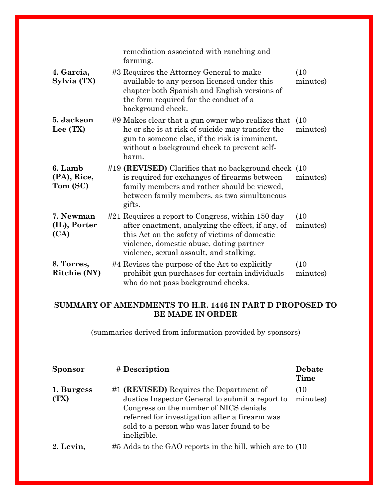|                                    | remediation associated with ranching and<br>farming.                                                                                                                                                                                           |                  |
|------------------------------------|------------------------------------------------------------------------------------------------------------------------------------------------------------------------------------------------------------------------------------------------|------------------|
| 4. Garcia,<br>Sylvia (TX)          | #3 Requires the Attorney General to make<br>available to any person licensed under this<br>chapter both Spanish and English versions of<br>the form required for the conduct of a<br>background check.                                         | (10)<br>minutes) |
| 5. Jackson<br>Lee (TX)             | #9 Makes clear that a gun owner who realizes that<br>he or she is at risk of suicide may transfer the<br>gun to some one else, if the risk is imminent,<br>without a background check to prevent self-<br>harm.                                | (10)<br>minutes) |
| 6. Lamb<br>(PA), Rice,<br>Tom (SC) | #19 (REVISED) Clarifies that no background check (10)<br>is required for exchanges of firearms between<br>family members and rather should be viewed,<br>between family members, as two simultaneous<br>gifts.                                 | minutes)         |
| 7. Newman<br>(IL), Porter<br>(CA)  | #21 Requires a report to Congress, within 150 day<br>after enactment, analyzing the effect, if any, of<br>this Act on the safety of victims of domestic<br>violence, domestic abuse, dating partner<br>violence, sexual assault, and stalking. | (10)<br>minutes) |
| 8. Torres,<br>Ritchie (NY)         | #4 Revises the purpose of the Act to explicitly<br>prohibit gun purchases for certain individuals<br>who do not pass background checks.                                                                                                        | (10)<br>minutes) |

### **SUMMARY OF AMENDMENTS TO H.R. 1446 IN PART D PROPOSED TO BE MADE IN ORDER**

(summaries derived from information provided by sponsors)

| <b>Sponsor</b>     | # Description                                                                                                                                                                                                                                       | <b>Debate</b><br>Time |
|--------------------|-----------------------------------------------------------------------------------------------------------------------------------------------------------------------------------------------------------------------------------------------------|-----------------------|
| 1. Burgess<br>(TX) | #1 (REVISED) Requires the Department of<br>Justice Inspector General to submit a report to<br>Congress on the number of NICS denials<br>referred for investigation after a firearm was<br>sold to a person who was later found to be<br>ineligible. | (10)<br>minutes)      |
| 2. Levin.          | #5 Adds to the GAO reports in the bill, which are to (10)                                                                                                                                                                                           |                       |